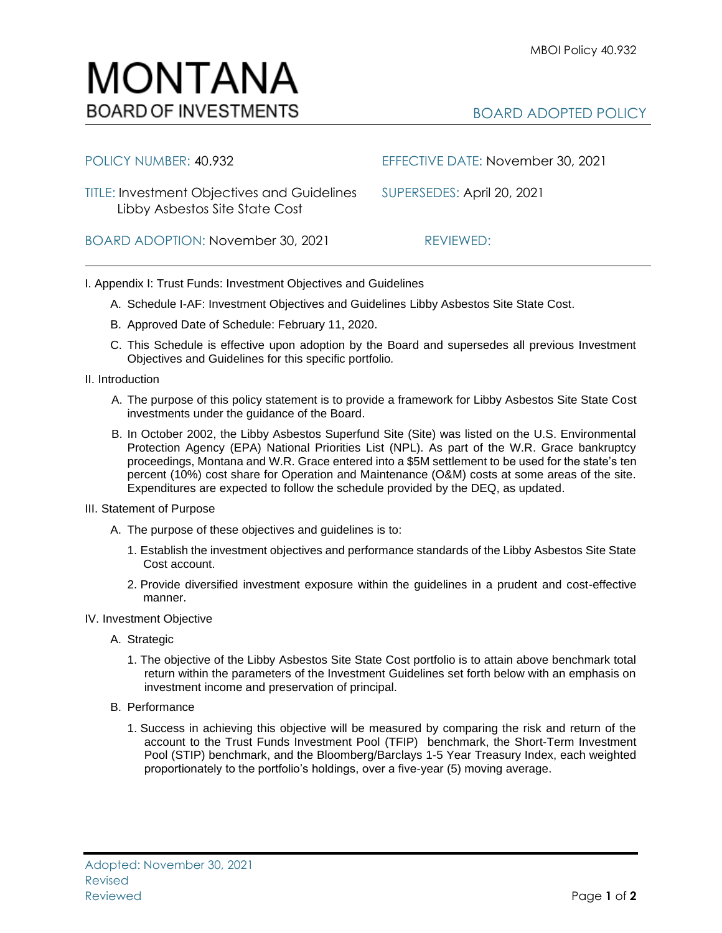## BOARD ADOPTED POLICY

| POLICY NUMBER: 40.932                                                                | EFFECTIVE DATE: November 30, 2021 |
|--------------------------------------------------------------------------------------|-----------------------------------|
| <b>TITLE: Investment Objectives and Guidelines</b><br>Libby Asbestos Site State Cost | SUPERSEDES: April 20, 2021        |
| BOARD ADOPTION: November 30, 2021                                                    | REVIEWED:                         |

I. Appendix I: Trust Funds: Investment Objectives and Guidelines

- A. Schedule I-AF: Investment Objectives and Guidelines Libby Asbestos Site State Cost.
- B. Approved Date of Schedule: February 11, 2020.

MONTANA

**BOARD OF INVESTMENTS** 

- C. This Schedule is effective upon adoption by the Board and supersedes all previous Investment Objectives and Guidelines for this specific portfolio*.*
- II. Introduction
	- A. The purpose of this policy statement is to provide a framework for Libby Asbestos Site State Cost investments under the guidance of the Board.
	- B. In October 2002, the Libby Asbestos Superfund Site (Site) was listed on the U.S. Environmental Protection Agency (EPA) National Priorities List (NPL). As part of the W.R. Grace bankruptcy proceedings, Montana and W.R. Grace entered into a \$5M settlement to be used for the state's ten percent (10%) cost share for Operation and Maintenance (O&M) costs at some areas of the site. Expenditures are expected to follow the schedule provided by the DEQ, as updated.
- III. Statement of Purpose
	- A. The purpose of these objectives and guidelines is to:
		- 1. Establish the investment objectives and performance standards of the Libby Asbestos Site State Cost account.
		- 2. Provide diversified investment exposure within the guidelines in a prudent and cost-effective manner.
- IV. Investment Objective
	- A. Strategic
		- 1. The objective of the Libby Asbestos Site State Cost portfolio is to attain above benchmark total return within the parameters of the Investment Guidelines set forth below with an emphasis on investment income and preservation of principal.
	- B. Performance

Adopted: November 30, 2021

Revised

1. Success in achieving this objective will be measured by comparing the risk and return of the account to the Trust Funds Investment Pool (TFIP) benchmark, the Short-Term Investment Pool (STIP) benchmark, and the Bloomberg/Barclays 1-5 Year Treasury Index, each weighted proportionately to the portfolio's holdings, over a five-year (5) moving average.